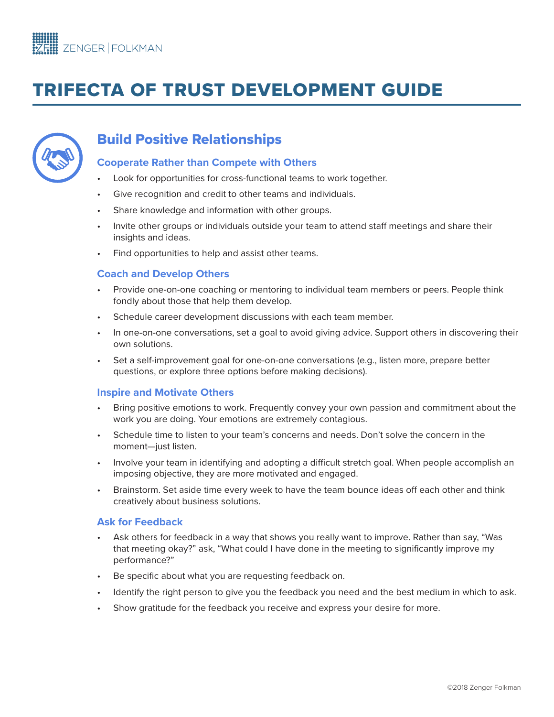# TRIFECTA OF TRUST DEVELOPMENT GUIDE



# Build Positive Relationships

#### **Cooperate Rather than Compete with Others**

- Look for opportunities for cross-functional teams to work together.
- Give recognition and credit to other teams and individuals.
- Share knowledge and information with other groups.
- Invite other groups or individuals outside your team to attend staff meetings and share their insights and ideas.
- Find opportunities to help and assist other teams.

#### **Coach and Develop Others**

- Provide one-on-one coaching or mentoring to individual team members or peers. People think fondly about those that help them develop.
- Schedule career development discussions with each team member.
- In one-on-one conversations, set a goal to avoid giving advice. Support others in discovering their own solutions.
- Set a self-improvement goal for one-on-one conversations (e.g., listen more, prepare better questions, or explore three options before making decisions).

#### **Inspire and Motivate Others**

- Bring positive emotions to work. Frequently convey your own passion and commitment about the work you are doing. Your emotions are extremely contagious.
- Schedule time to listen to your team's concerns and needs. Don't solve the concern in the moment—just listen.
- Involve your team in identifying and adopting a difficult stretch goal. When people accomplish an imposing objective, they are more motivated and engaged.
- Brainstorm. Set aside time every week to have the team bounce ideas off each other and think creatively about business solutions.

#### **Ask for Feedback**

- Ask others for feedback in a way that shows you really want to improve. Rather than say, "Was that meeting okay?" ask, "What could I have done in the meeting to significantly improve my performance?"
- Be specific about what you are requesting feedback on.
- Identify the right person to give you the feedback you need and the best medium in which to ask.
- Show gratitude for the feedback you receive and express your desire for more.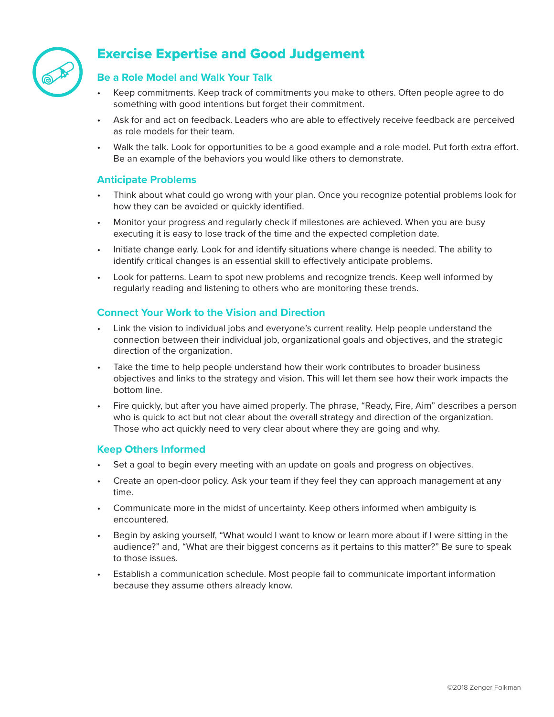

# Exercise Expertise and Good Judgement

## **Be a Role Model and Walk Your Talk**

- Keep commitments. Keep track of commitments you make to others. Often people agree to do something with good intentions but forget their commitment.
- Ask for and act on feedback. Leaders who are able to effectively receive feedback are perceived as role models for their team.
- Walk the talk. Look for opportunities to be a good example and a role model. Put forth extra effort. Be an example of the behaviors you would like others to demonstrate.

#### **Anticipate Problems**

- Think about what could go wrong with your plan. Once you recognize potential problems look for how they can be avoided or quickly identified.
- Monitor your progress and regularly check if milestones are achieved. When you are busy executing it is easy to lose track of the time and the expected completion date.
- Initiate change early. Look for and identify situations where change is needed. The ability to identify critical changes is an essential skill to effectively anticipate problems.
- Look for patterns. Learn to spot new problems and recognize trends. Keep well informed by regularly reading and listening to others who are monitoring these trends.

#### **Connect Your Work to the Vision and Direction**

- Link the vision to individual jobs and everyone's current reality. Help people understand the connection between their individual job, organizational goals and objectives, and the strategic direction of the organization.
- Take the time to help people understand how their work contributes to broader business objectives and links to the strategy and vision. This will let them see how their work impacts the bottom line.
- Fire quickly, but after you have aimed properly. The phrase, "Ready, Fire, Aim" describes a person who is quick to act but not clear about the overall strategy and direction of the organization. Those who act quickly need to very clear about where they are going and why.

#### **Keep Others Informed**

- Set a goal to begin every meeting with an update on goals and progress on objectives.
- Create an open-door policy. Ask your team if they feel they can approach management at any time.
- Communicate more in the midst of uncertainty. Keep others informed when ambiguity is encountered.
- Begin by asking yourself, "What would I want to know or learn more about if I were sitting in the audience?" and, "What are their biggest concerns as it pertains to this matter?" Be sure to speak to those issues.
- Establish a communication schedule. Most people fail to communicate important information because they assume others already know.